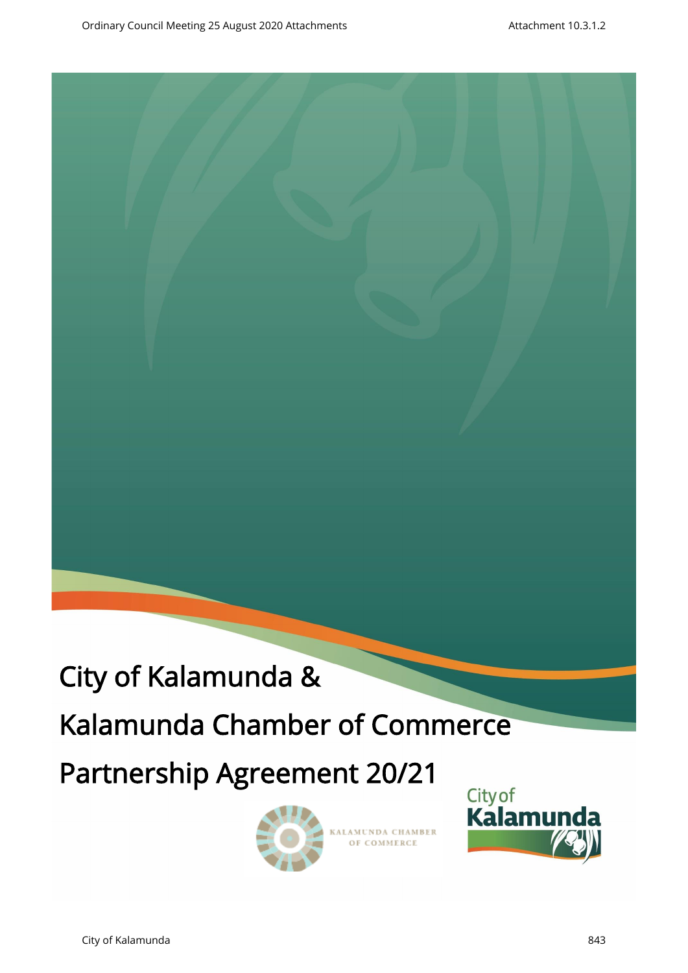

# Kalamunda Chamber of Commerce

# Partnership Agreement 20/21



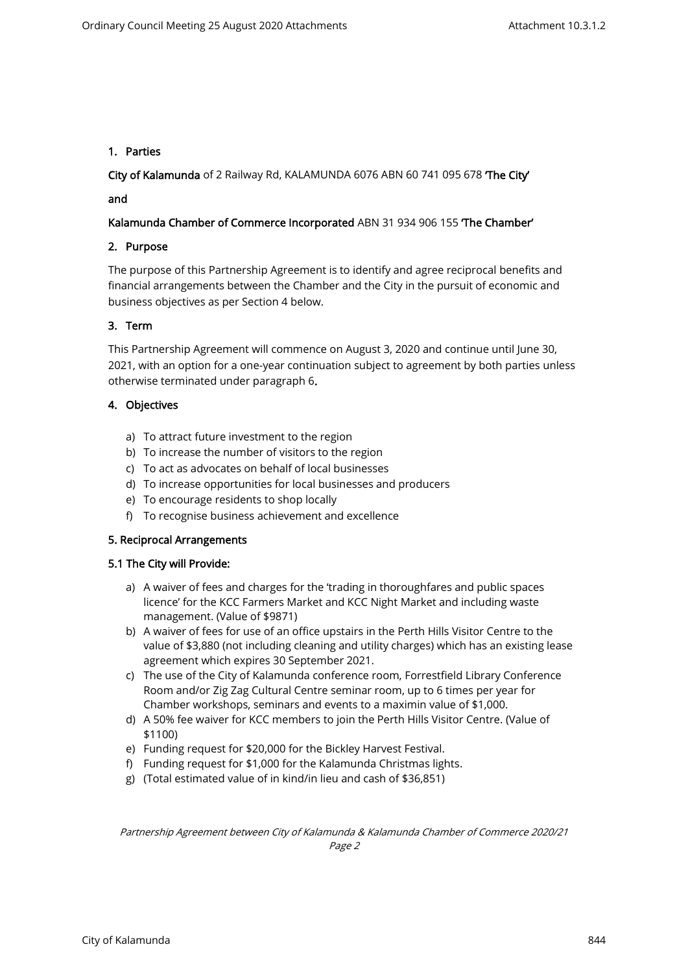# 1. Parties

City of Kalamunda of 2 Railway Rd, KALAMUNDA 6076 ABN 60 741 095 678 'The City'

### and

# Kalamunda Chamber of Commerce Incorporated ABN 31 934 906 155 The Chamber'

#### 2. Purpose

The purpose of this Partnership Agreement is to identify and agree reciprocal benefits and financial arrangements between the Chamber and the City in the pursuit of economic and business objectives as per Section 4 below.

#### 3. Term

This Partnership Agreement will commence on August 3, 2020 and continue until June 30, 2021, with an option for a one-year continuation subject to agreement by both parties unless otherwise terminated under paragraph 6.

#### 4. Objectives

- a) To attract future investment to the region
- b) To increase the number of visitors to the region
- c) To act as advocates on behalf of local businesses
- d) To increase opportunities for local businesses and producers
- e) To encourage residents to shop locally
- f) To recognise business achievement and excellence

#### 5. Reciprocal Arrangements

#### 5.1 The City will Provide:

- a) A waiver of fees and charges for the 'trading in thoroughfares and public spaces licence' for the KCC Farmers Market and KCC Night Market and including waste management. (Value of \$9871)
- b) A waiver of fees for use of an office upstairs in the Perth Hills Visitor Centre to the value of \$3,880 (not including cleaning and utility charges) which has an existing lease agreement which expires 30 September 2021.
- c) The use of the City of Kalamunda conference room, Forrestfield Library Conference Room and/or Zig Zag Cultural Centre seminar room, up to 6 times per year for Chamber workshops, seminars and events to a maximin value of \$1,000.
- d) A 50% fee waiver for KCC members to join the Perth Hills Visitor Centre. (Value of \$1100)
- e) Funding request for \$20,000 for the Bickley Harvest Festival.
- f) Funding request for \$1,000 for the Kalamunda Christmas lights.
- g) (Total estimated value of in kind/in lieu and cash of \$36,851)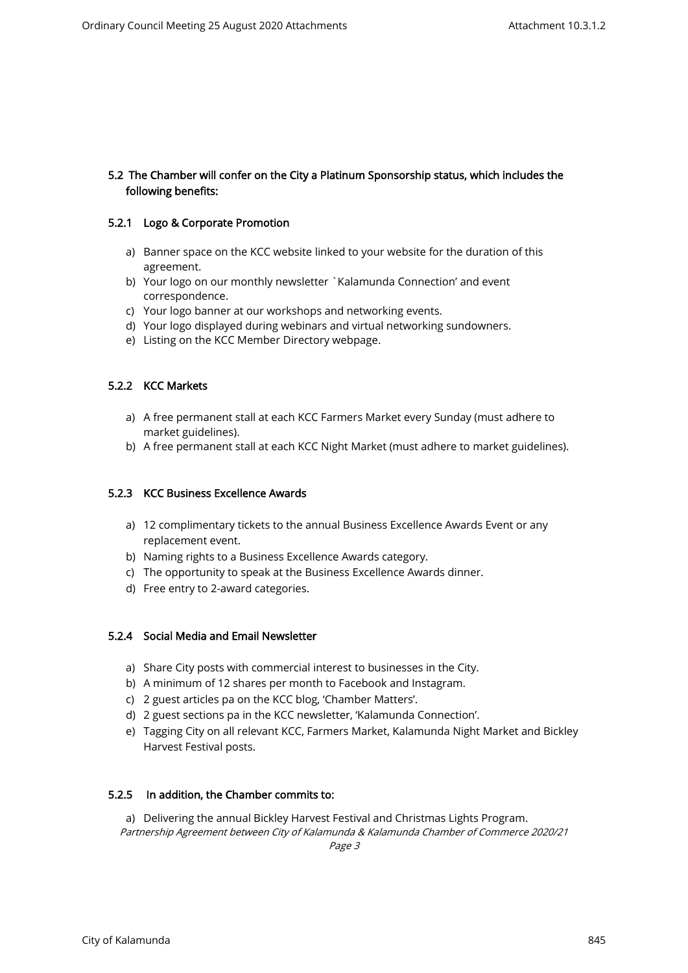# 5.2 The Chamber will confer on the City a Platinum Sponsorship status, which includes the following benefits:

#### 5.2.1 Logo & Corporate Promotion

- a) Banner space on the KCC website linked to your website for the duration of this agreement.
- b) Your logo on our monthly newsletter `Kalamunda Connection' and event correspondence.
- c) Your logo banner at our workshops and networking events.
- d) Your logo displayed during webinars and virtual networking sundowners.
- e) Listing on the KCC Member Directory webpage.

# 5.2.2 KCC Markets

- a) A free permanent stall at each KCC Farmers Market every Sunday (must adhere to market guidelines).
- b) A free permanent stall at each KCC Night Market (must adhere to market guidelines).

#### 5.2.3 KCC Business Excellence Awards

- a) 12 complimentary tickets to the annual Business Excellence Awards Event or any replacement event.
- b) Naming rights to a Business Excellence Awards category.
- c) The opportunity to speak at the Business Excellence Awards dinner.
- d) Free entry to 2-award categories.

#### 5.2.4 Social Media and Email Newsletter

- a) Share City posts with commercial interest to businesses in the City.
- b) A minimum of 12 shares per month to Facebook and Instagram.
- c) 2 guest articles pa on the KCC blog, 'Chamber Matters'.
- d) 2 guest sections pa in the KCC newsletter, 'Kalamunda Connection'.
- e) Tagging City on all relevant KCC, Farmers Market, Kalamunda Night Market and Bickley Harvest Festival posts.

#### 5.2.5 In addition, the Chamber commits to:

Partnership Agreement between City of Kalamunda & Kalamunda Chamber of Commerce 2020/21 a) Delivering the annual Bickley Harvest Festival and Christmas Lights Program.

Page 3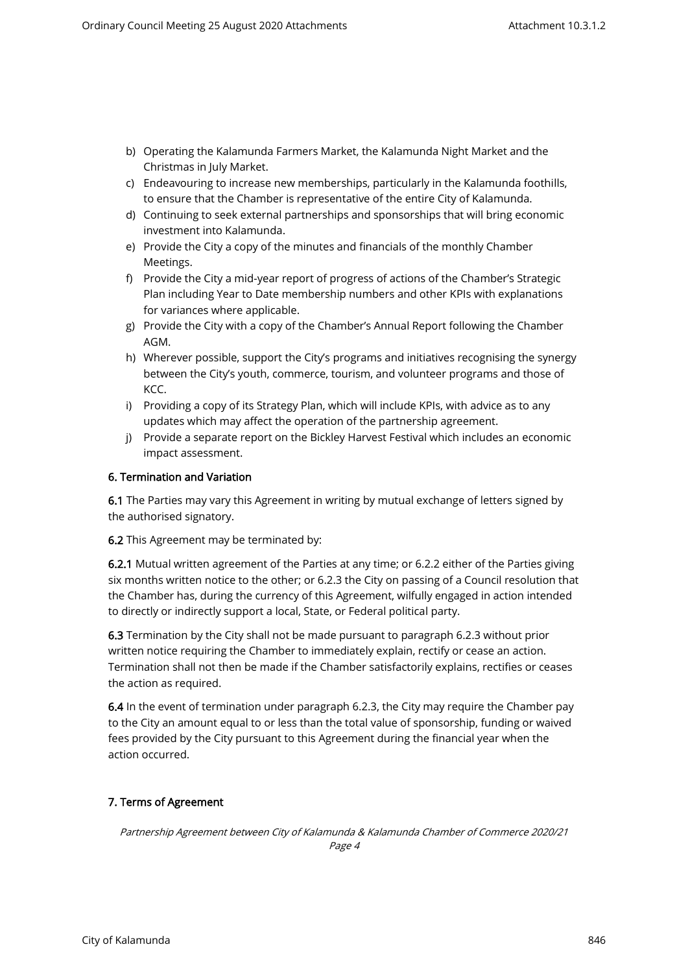- b) Operating the Kalamunda Farmers Market, the Kalamunda Night Market and the Christmas in July Market.
- c) Endeavouring to increase new memberships, particularly in the Kalamunda foothills, to ensure that the Chamber is representative of the entire City of Kalamunda.
- d) Continuing to seek external partnerships and sponsorships that will bring economic investment into Kalamunda.
- e) Provide the City a copy of the minutes and financials of the monthly Chamber Meetings.
- f) Provide the City a mid-year report of progress of actions of the Chamber's Strategic Plan including Year to Date membership numbers and other KPIs with explanations for variances where applicable.
- g) Provide the City with a copy of the Chamber's Annual Report following the Chamber AGM.
- h) Wherever possible, support the City's programs and initiatives recognising the synergy between the City's youth, commerce, tourism, and volunteer programs and those of KCC.
- i) Providing a copy of its Strategy Plan, which will include KPIs, with advice as to any updates which may affect the operation of the partnership agreement.
- j) Provide a separate report on the Bickley Harvest Festival which includes an economic impact assessment.

# 6. Termination and Variation

6.1 The Parties may vary this Agreement in writing by mutual exchange of letters signed by the authorised signatory.

6.2 This Agreement may be terminated by:

6.2.1 Mutual written agreement of the Parties at any time; or 6.2.2 either of the Parties giving six months written notice to the other; or 6.2.3 the City on passing of a Council resolution that the Chamber has, during the currency of this Agreement, wilfully engaged in action intended to directly or indirectly support a local, State, or Federal political party.

6.3 Termination by the City shall not be made pursuant to paragraph 6.2.3 without prior written notice requiring the Chamber to immediately explain, rectify or cease an action. Termination shall not then be made if the Chamber satisfactorily explains, rectifies or ceases the action as required.

6.4 In the event of termination under paragraph 6.2.3, the City may require the Chamber pay to the City an amount equal to or less than the total value of sponsorship, funding or waived fees provided by the City pursuant to this Agreement during the financial year when the action occurred.

# 7. Terms of Agreement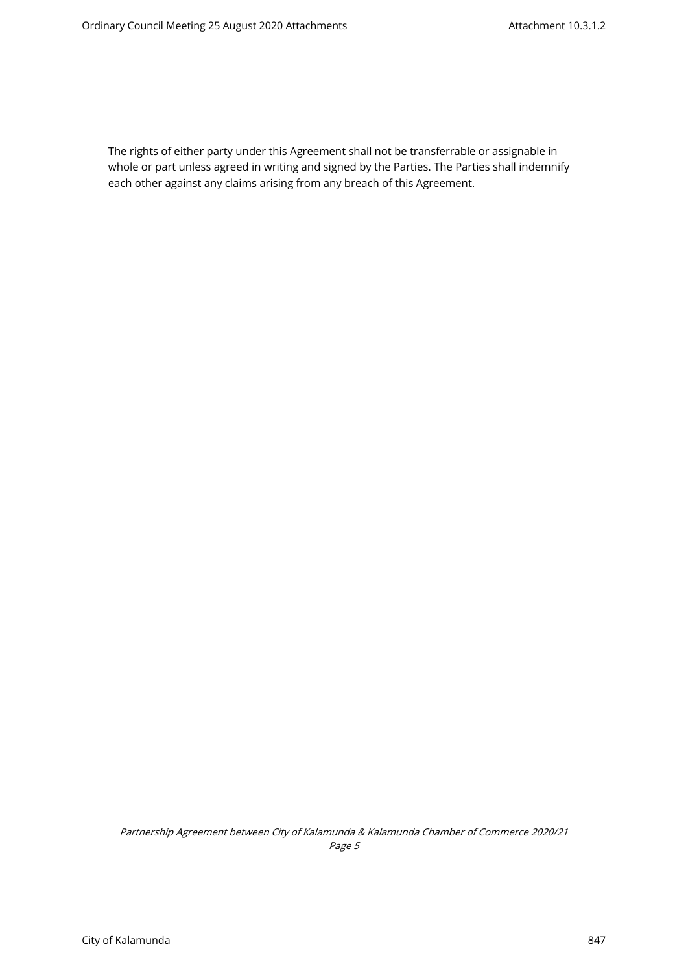The rights of either party under this Agreement shall not be transferrable or assignable in whole or part unless agreed in writing and signed by the Parties. The Parties shall indemnify each other against any claims arising from any breach of this Agreement.